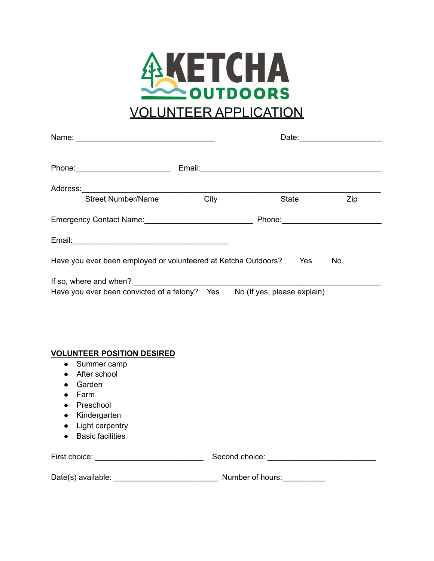

| <b>Street Number/Name</b>                                                 | City | State | Zip |  |
|---------------------------------------------------------------------------|------|-------|-----|--|
|                                                                           |      |       |     |  |
|                                                                           |      |       |     |  |
| Have you ever been employed or volunteered at Ketcha Outdoors?            |      | Yes   | No  |  |
|                                                                           |      |       |     |  |
| Have you ever been convicted of a felony? Yes No (If yes, please explain) |      |       |     |  |
|                                                                           |      |       |     |  |
|                                                                           |      |       |     |  |
|                                                                           |      |       |     |  |
| <b>VOLUNTEER POSITION DESIRED</b>                                         |      |       |     |  |
| Summer camp<br>$\bullet$                                                  |      |       |     |  |
| After school                                                              |      |       |     |  |
| Garden                                                                    |      |       |     |  |
| Farm                                                                      |      |       |     |  |

- Preschool
- Kindergarten
- Light carpentry
- Basic facilities

| First choice:      | Second choice:   |  |  |
|--------------------|------------------|--|--|
| Date(s) available: | Number of hours: |  |  |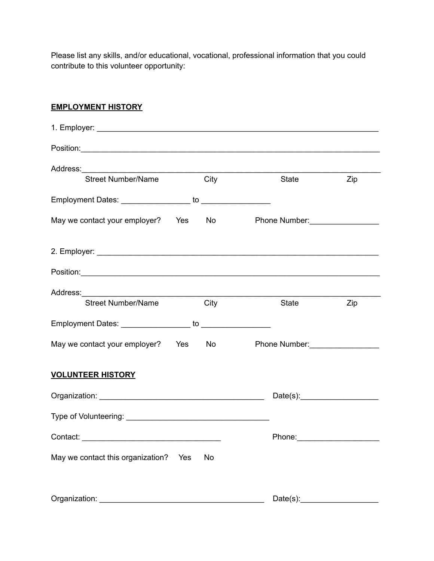Please list any skills, and/or educational, vocational, professional information that you could contribute to this volunteer opportunity:

**EMPLOYMENT HISTORY**

| <b>Street Number/Name</b>            |     | City | <b>State State</b>                                                                                            | Zip |
|--------------------------------------|-----|------|---------------------------------------------------------------------------------------------------------------|-----|
|                                      |     |      |                                                                                                               |     |
| May we contact your employer? Yes No |     |      | Phone Number: __________________                                                                              |     |
|                                      |     |      |                                                                                                               |     |
|                                      |     |      |                                                                                                               |     |
| <b>Street Number/Name</b>            |     | City | State                                                                                                         | Zip |
|                                      |     |      |                                                                                                               |     |
| May we contact your employer? Yes No |     |      | Phone Number: Management Phone Number:                                                                        |     |
| <b>VOLUNTEER HISTORY</b>             |     |      |                                                                                                               |     |
|                                      |     |      | Date(s):                                                                                                      |     |
|                                      |     |      |                                                                                                               |     |
|                                      |     |      | Phone: 2008 2010 2010 2021 2022 2022 2023 2024 2022 2022 2023 2024 2022 2023 2024 2025 2026 2027 2028 2021 20 |     |
| May we contact this organization?    | Yes | No   |                                                                                                               |     |
|                                      |     |      |                                                                                                               |     |